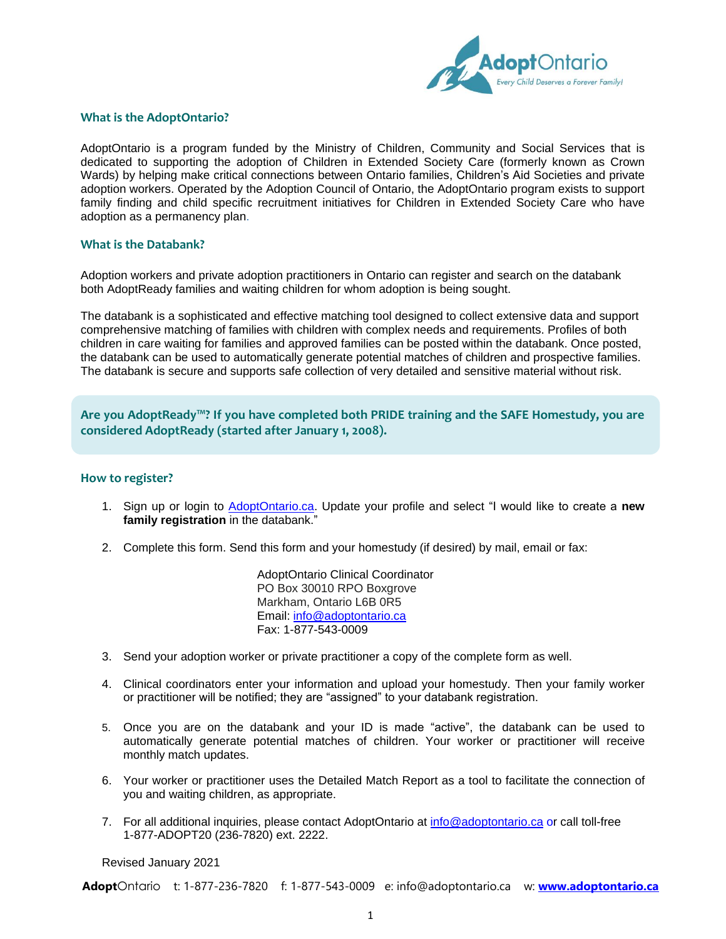

#### **What is the AdoptOntario?**

AdoptOntario is a program funded by the Ministry of Children, Community and Social Services that is dedicated to supporting the adoption of Children in Extended Society Care (formerly known as Crown Wards) by helping make critical connections between Ontario families, Children's Aid Societies and private adoption workers. Operated by the Adoption Council of Ontario, the AdoptOntario program exists to support family finding and child specific recruitment initiatives for Children in Extended Society Care who have adoption as a permanency plan.

#### **What is the Databank?**

Adoption workers and private adoption practitioners in Ontario can register and search on the databank both AdoptReady families and waiting children for whom adoption is being sought.

The databank is a sophisticated and effective matching tool designed to collect extensive data and support comprehensive matching of families with children with complex needs and requirements. Profiles of both children in care waiting for families and approved families can be posted within the databank. Once posted, the databank can be used to automatically generate potential matches of children and prospective families. The databank is secure and supports safe collection of very detailed and sensitive material without risk.

**Are you AdoptReady™? If you have completed both PRIDE training and the SAFE Homestudy, you are considered AdoptReady (started after January 1, 2008).**

#### **How to register?**

- 1. Sign up or login to [AdoptOntario.ca.](https://secure.adoptontario.ca/waitingchildren.login.aspx) Update your profile and select "I would like to create a **new family registration** in the databank."
- 2. Complete this form. Send this form and your homestudy (if desired) by mail, email or fax:

AdoptOntario Clinical Coordinator PO Box 30010 RPO Boxgrove Markham, Ontario L6B 0R5 Email: [info@adoptontario.ca](mailto:info@adoptontario.ca) Fax: 1-877-543-0009

- 3. Send your adoption worker or private practitioner a copy of the complete form as well.
- 4. Clinical coordinators enter your information and upload your homestudy. Then your family worker or practitioner will be notified; they are "assigned" to your databank registration.
- 5. Once you are on the databank and your ID is made "active", the databank can be used to automatically generate potential matches of children. Your worker or practitioner will receive monthly match updates.
- 6. Your worker or practitioner uses the Detailed Match Report as a tool to facilitate the connection of you and waiting children, as appropriate.
- 7. For all additional inquiries, please contact AdoptOntario at [info@adoptontario.ca](mailto:info@adoptontario.ca) or call toll-free 1-877-ADOPT20 (236-7820) ext. 2222.

Revised January 2021

**Adopt**Ontario t: 1-877-236-7820 f: 1-877-543-0009 e: info@adoptontario.ca w: **[www.adoptontario.ca](http://www.adoptontario.ca/)**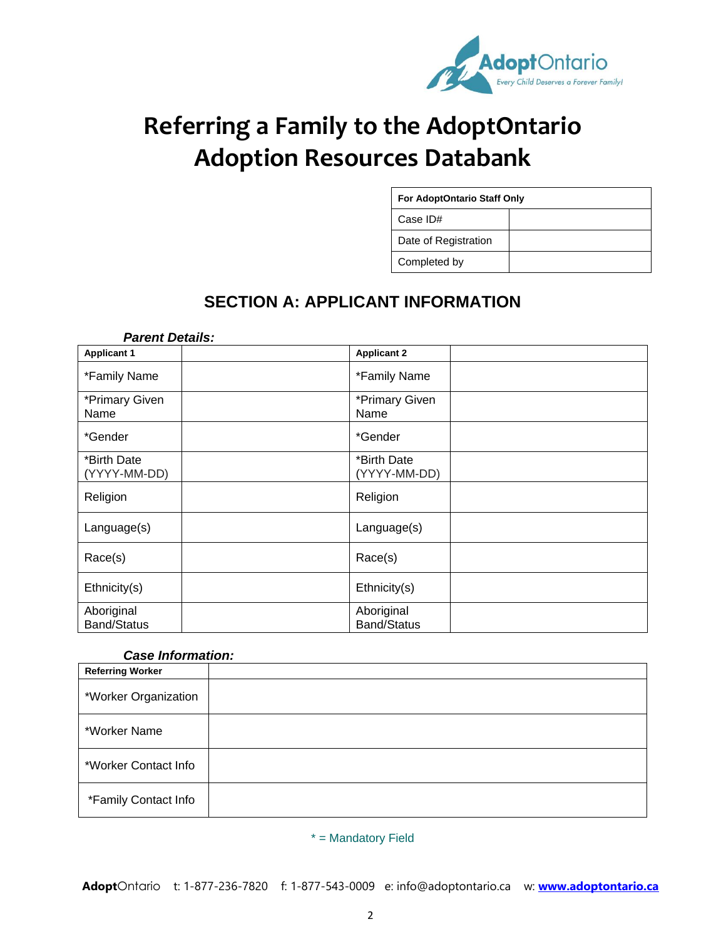

# **Referring a Family to the AdoptOntario Adoption Resources Databank**

| <b>For AdoptOntario Staff Only</b> |  |  |  |  |
|------------------------------------|--|--|--|--|
| Case ID#                           |  |  |  |  |
| Date of Registration               |  |  |  |  |
| Completed by                       |  |  |  |  |

# **SECTION A: APPLICANT INFORMATION**

| <b>Parent Details:</b>           |                                  |  |
|----------------------------------|----------------------------------|--|
| <b>Applicant 1</b>               | <b>Applicant 2</b>               |  |
| *Family Name                     | *Family Name                     |  |
| *Primary Given<br>Name           | *Primary Given<br>Name           |  |
| *Gender                          | *Gender                          |  |
| *Birth Date<br>(YYYY-MM-DD)      | *Birth Date<br>(YYYY-MM-DD)      |  |
| Religion                         | Religion                         |  |
| Language(s)                      | Language(s)                      |  |
| Race(s)                          | Race(s)                          |  |
| Ethnicity(s)                     | Ethnicity(s)                     |  |
| Aboriginal<br><b>Band/Status</b> | Aboriginal<br><b>Band/Status</b> |  |

#### *Case Information:*

| <b>Referring Worker</b> |  |
|-------------------------|--|
| *Worker Organization    |  |
| *Worker Name            |  |
| *Worker Contact Info    |  |
| *Family Contact Info    |  |

\* = Mandatory Field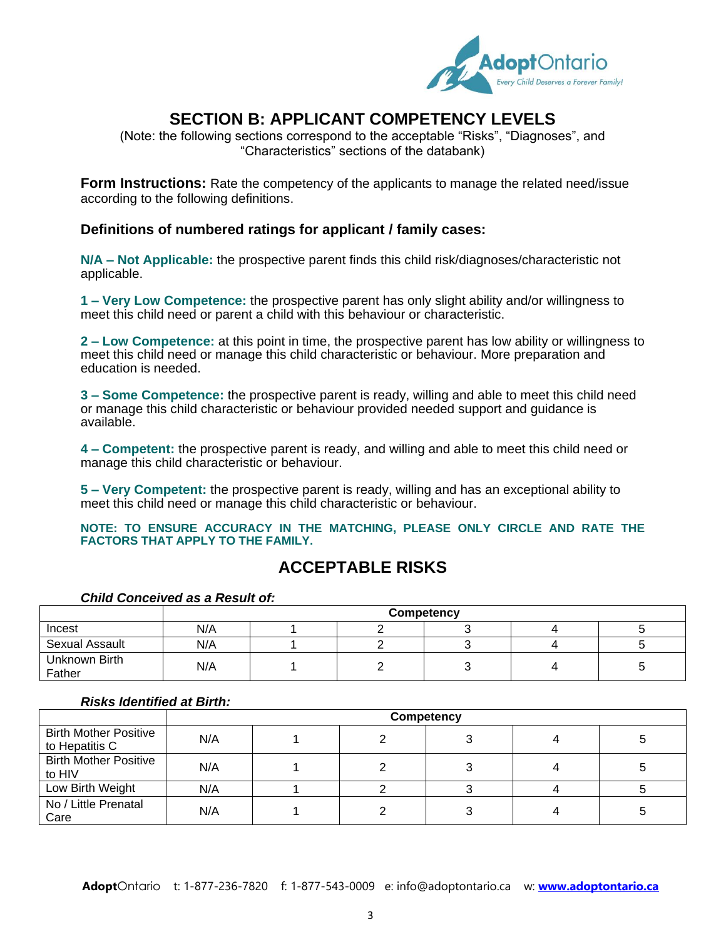

# **SECTION B: APPLICANT COMPETENCY LEVELS**

(Note: the following sections correspond to the acceptable "Risks", "Diagnoses", and "Characteristics" sections of the databank)

**Form Instructions:** Rate the competency of the applicants to manage the related need/issue according to the following definitions.

#### **Definitions of numbered ratings for applicant / family cases:**

**N/A – Not Applicable:** the prospective parent finds this child risk/diagnoses/characteristic not applicable.

**1 – Very Low Competence:** the prospective parent has only slight ability and/or willingness to meet this child need or parent a child with this behaviour or characteristic.

**2 – Low Competence:** at this point in time, the prospective parent has low ability or willingness to meet this child need or manage this child characteristic or behaviour. More preparation and education is needed.

**3 – Some Competence:** the prospective parent is ready, willing and able to meet this child need or manage this child characteristic or behaviour provided needed support and guidance is available.

**4 – Competent:** the prospective parent is ready, and willing and able to meet this child need or manage this child characteristic or behaviour.

**5 – Very Competent:** the prospective parent is ready, willing and has an exceptional ability to meet this child need or manage this child characteristic or behaviour.

**NOTE: TO ENSURE ACCURACY IN THE MATCHING, PLEASE ONLY CIRCLE AND RATE THE FACTORS THAT APPLY TO THE FAMILY.**

### **ACCEPTABLE RISKS**

|                         |     | Competency |  |  |  |  |
|-------------------------|-----|------------|--|--|--|--|
| Incest                  | N/A |            |  |  |  |  |
| <b>Sexual Assault</b>   | N/A |            |  |  |  |  |
| Unknown Birth<br>Father | N/A |            |  |  |  |  |

#### *Child Conceived as a Result of:*

#### *Risks Identified at Birth:*

|                                                |     | Competency |  |  |  |  |
|------------------------------------------------|-----|------------|--|--|--|--|
| <b>Birth Mother Positive</b><br>to Hepatitis C | N/A |            |  |  |  |  |
| <b>Birth Mother Positive</b><br>to HIV         | N/A |            |  |  |  |  |
| Low Birth Weight                               | N/A |            |  |  |  |  |
| No / Little Prenatal<br>Care                   | N/A |            |  |  |  |  |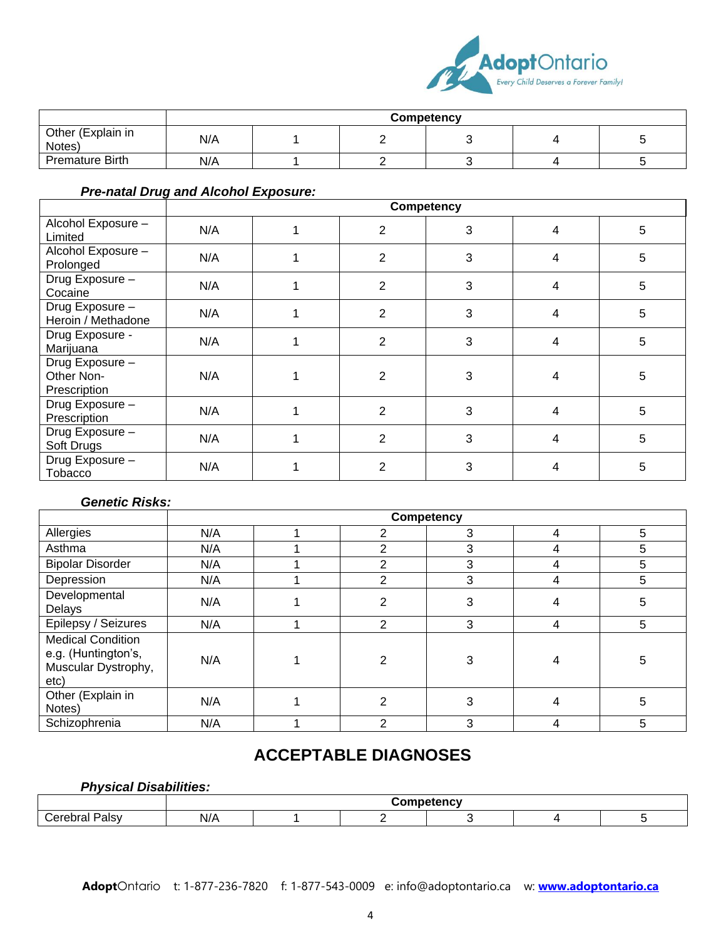

|                             | Competency |  |  |  |  |  |
|-----------------------------|------------|--|--|--|--|--|
| Other (Explain in<br>Notes) | N/A        |  |  |  |  |  |
| <b>Premature Birth</b>      | N/A        |  |  |  |  |  |

### *Pre-natal Drug and Alcohol Exposure:*

|                                               |     |                | Competency |                |   |
|-----------------------------------------------|-----|----------------|------------|----------------|---|
| Alcohol Exposure -<br>Limited                 | N/A | $\overline{2}$ | 3          | $\overline{4}$ | 5 |
| Alcohol Exposure -<br>Prolonged               | N/A | $\overline{2}$ | 3          | 4              | 5 |
| Drug Exposure -<br>Cocaine                    | N/A | 2              | 3          | 4              | 5 |
| Drug Exposure -<br>Heroin / Methadone         | N/A | 2              | 3          | 4              | 5 |
| Drug Exposure -<br>Marijuana                  | N/A | $\overline{2}$ | 3          | 4              | 5 |
| Drug Exposure -<br>Other Non-<br>Prescription | N/A | 2              | 3          | 4              | 5 |
| Drug Exposure -<br>Prescription               | N/A | 2              | 3          | 4              | 5 |
| Drug Exposure -<br>Soft Drugs                 | N/A | $\overline{2}$ | 3          | 4              | 5 |
| Drug Exposure-<br>Tobacco                     | N/A | 2              | 3          |                | 5 |

#### *Genetic Risks:*

|                                                                                |     | <b>Competency</b> |              |   |   |   |
|--------------------------------------------------------------------------------|-----|-------------------|--------------|---|---|---|
| Allergies                                                                      | N/A |                   | 2            | 3 | 4 | 5 |
| Asthma                                                                         | N/A |                   | 2            | 3 | 4 | 5 |
| <b>Bipolar Disorder</b>                                                        | N/A |                   | $\mathbf{2}$ | 3 | 4 | 5 |
| Depression                                                                     | N/A |                   | 2            | 3 | 4 | 5 |
| Developmental<br>Delays                                                        | N/A |                   | 2            | 3 |   | 5 |
| Epilepsy / Seizures                                                            | N/A |                   | 2            | 3 | 4 | 5 |
| <b>Medical Condition</b><br>e.g. (Huntington's,<br>Muscular Dystrophy,<br>etc) | N/A |                   | 2            | 3 |   | 5 |
| Other (Explain in<br>Notes)                                                    | N/A |                   | 2            | 3 |   | 5 |
| Schizophrenia                                                                  | N/A |                   | 2            | 3 | 4 | 5 |

# **ACCEPTABLE DIAGNOSES**

### *Physical Disabilities:*

|                        | Competency<br>$ -$ |  |  |  |  |  |
|------------------------|--------------------|--|--|--|--|--|
| $\sim$<br>Palsy<br>™н. | N/A<br>.           |  |  |  |  |  |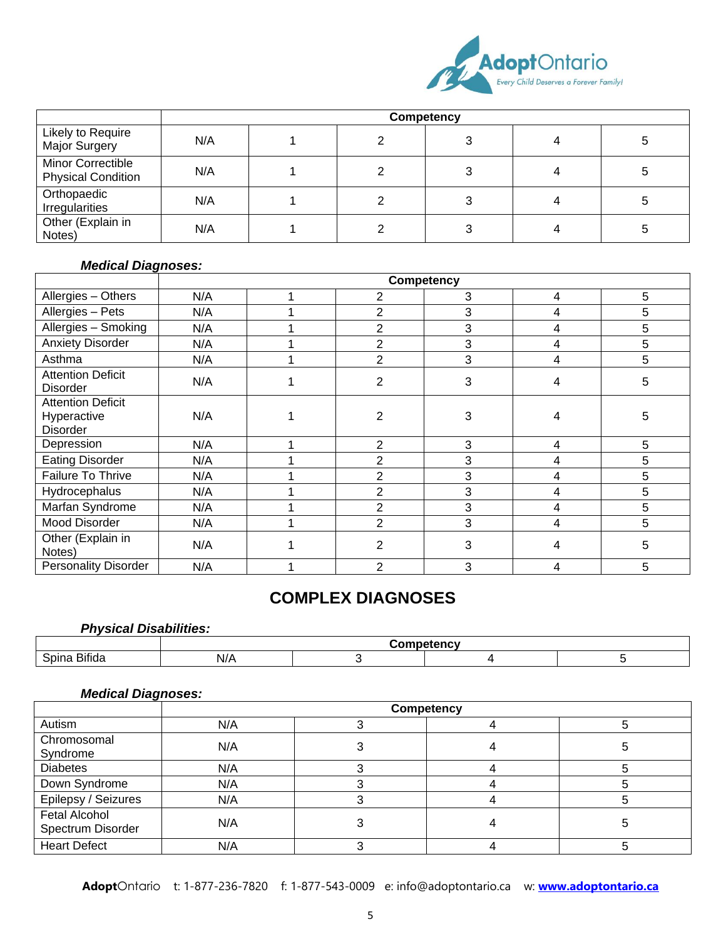

|                                                |     | <b>Competency</b> |  |  |  |   |
|------------------------------------------------|-----|-------------------|--|--|--|---|
| Likely to Require<br>Major Surgery             | N/A |                   |  |  |  | 5 |
| Minor Correctible<br><b>Physical Condition</b> | N/A |                   |  |  |  | 5 |
| Orthopaedic<br>Irregularities                  | N/A |                   |  |  |  | 5 |
| Other (Explain in<br>Notes)                    | N/A |                   |  |  |  | b |

#### *Medical Diagnoses:*

|                                                            |     | <b>Competency</b> |                |   |   |   |
|------------------------------------------------------------|-----|-------------------|----------------|---|---|---|
| Allergies - Others                                         | N/A |                   | 2              | 3 | 4 | 5 |
| Allergies - Pets                                           | N/A |                   | $\overline{2}$ | 3 | 4 | 5 |
| Allergies - Smoking                                        | N/A |                   | $\overline{2}$ | 3 | 4 | 5 |
| <b>Anxiety Disorder</b>                                    | N/A |                   | 2              | 3 | 4 | 5 |
| Asthma                                                     | N/A |                   | $\overline{2}$ | 3 | 4 | 5 |
| <b>Attention Deficit</b><br><b>Disorder</b>                | N/A |                   | $\overline{2}$ | 3 | 4 | 5 |
| <b>Attention Deficit</b><br>Hyperactive<br><b>Disorder</b> | N/A |                   | 2              | 3 | 4 | 5 |
| Depression                                                 | N/A |                   | $\overline{2}$ | 3 | 4 | 5 |
| <b>Eating Disorder</b>                                     | N/A |                   | 2              | 3 | 4 | 5 |
| Failure To Thrive                                          | N/A |                   | $\overline{2}$ | 3 | 4 | 5 |
| Hydrocephalus                                              | N/A |                   | $\overline{2}$ | 3 | 4 | 5 |
| <b>Marfan Syndrome</b>                                     | N/A |                   | $\overline{2}$ | 3 | 4 | 5 |
| Mood Disorder                                              | N/A |                   | $\overline{2}$ | 3 | 4 | 5 |
| Other (Explain in<br>Notes)                                | N/A |                   | 2              | 3 | 4 | 5 |
| <b>Personality Disorder</b>                                | N/A |                   | $\mathfrak{p}$ | 3 | 4 | 5 |

## **COMPLEX DIAGNOSES**

### *Physical Disabilities:*

|                         | 'omnatancw |  |  |  |  |  |
|-------------------------|------------|--|--|--|--|--|
| $-1$<br>Spina<br>Bifida | N//        |  |  |  |  |  |

#### *Medical Diagnoses:*

|                                           | <b>Competency</b> |  |  |  |  |  |  |  |  |
|-------------------------------------------|-------------------|--|--|--|--|--|--|--|--|
| Autism                                    | N/A               |  |  |  |  |  |  |  |  |
| Chromosomal<br>Syndrome                   | N/A               |  |  |  |  |  |  |  |  |
| <b>Diabetes</b>                           | N/A               |  |  |  |  |  |  |  |  |
| Down Syndrome                             | N/A               |  |  |  |  |  |  |  |  |
| Epilepsy / Seizures                       | N/A               |  |  |  |  |  |  |  |  |
| <b>Fetal Alcohol</b><br>Spectrum Disorder | N/A               |  |  |  |  |  |  |  |  |
| <b>Heart Defect</b>                       | N/A               |  |  |  |  |  |  |  |  |

**Adopt**Ontario t: 1-877-236-7820 f: 1-877-543-0009 e: info@adoptontario.ca w: **[www.adoptontario.ca](http://www.adoptontario.ca/)**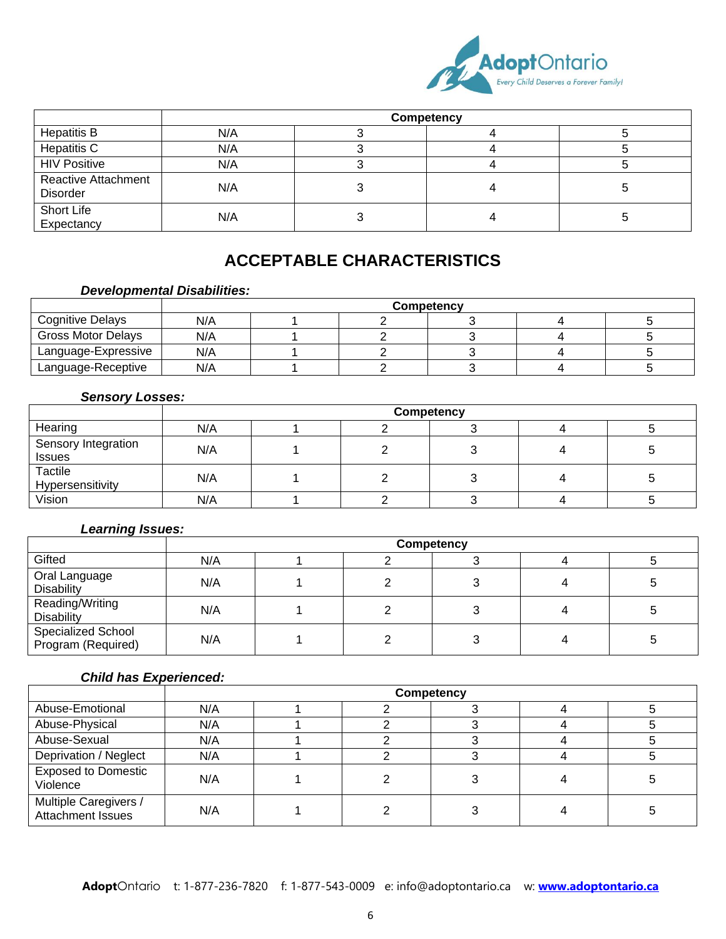

|                                               |     | Competency |  |
|-----------------------------------------------|-----|------------|--|
| <b>Hepatitis B</b>                            | N/A |            |  |
| Hepatitis C                                   | N/A |            |  |
| <b>HIV Positive</b>                           | N/A |            |  |
| <b>Reactive Attachment</b><br><b>Disorder</b> | N/A |            |  |
| Short Life<br>Expectancy                      | N/A |            |  |

# **ACCEPTABLE CHARACTERISTICS**

### *Developmental Disabilities:*

|                           |     | Competency |  |  |  |  |  |  |  |
|---------------------------|-----|------------|--|--|--|--|--|--|--|
| <b>Cognitive Delays</b>   | N/A |            |  |  |  |  |  |  |  |
| <b>Gross Motor Delays</b> | N/A |            |  |  |  |  |  |  |  |
| Language-Expressive       | N/A |            |  |  |  |  |  |  |  |
| Language-Receptive        | N/A |            |  |  |  |  |  |  |  |

#### *Sensory Losses:*

|                                      | Competency |  |  |  |  |  |  |  |  |  |
|--------------------------------------|------------|--|--|--|--|--|--|--|--|--|
| Hearing                              | N/A        |  |  |  |  |  |  |  |  |  |
| Sensory Integration<br><b>Issues</b> | N/A        |  |  |  |  |  |  |  |  |  |
| Tactile<br>Hypersensitivity          | N/A        |  |  |  |  |  |  |  |  |  |
| Vision                               | N/A        |  |  |  |  |  |  |  |  |  |

#### *Learning Issues:*

|                                                 | Competency |  |  |  |  |  |  |  |  |
|-------------------------------------------------|------------|--|--|--|--|--|--|--|--|
| Gifted                                          | N/A        |  |  |  |  |  |  |  |  |
| Oral Language<br>Disability                     | N/A        |  |  |  |  |  |  |  |  |
| Reading/Writing<br>Disability                   | N/A        |  |  |  |  |  |  |  |  |
| <b>Specialized School</b><br>Program (Required) | N/A        |  |  |  |  |  |  |  |  |

### *Child has Experienced:*

|                                                   | Competency |  |  |  |  |  |  |  |  |
|---------------------------------------------------|------------|--|--|--|--|--|--|--|--|
| Abuse-Emotional                                   | N/A        |  |  |  |  |  |  |  |  |
| Abuse-Physical                                    | N/A        |  |  |  |  |  |  |  |  |
| Abuse-Sexual                                      | N/A        |  |  |  |  |  |  |  |  |
| Deprivation / Neglect                             | N/A        |  |  |  |  |  |  |  |  |
| <b>Exposed to Domestic</b><br>Violence            | N/A        |  |  |  |  |  |  |  |  |
| Multiple Caregivers /<br><b>Attachment Issues</b> | N/A        |  |  |  |  |  |  |  |  |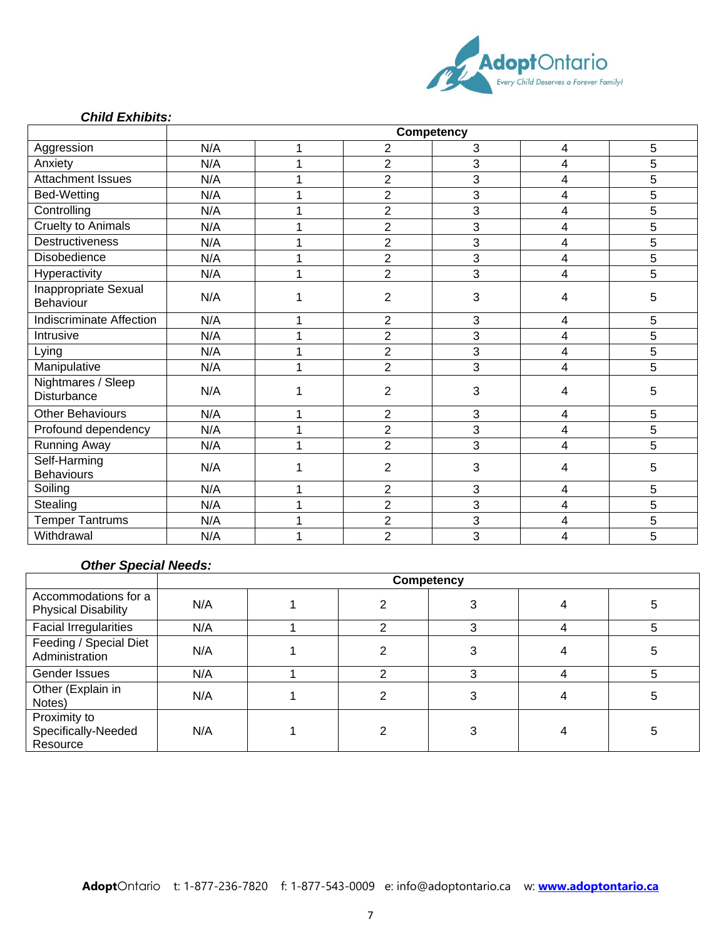

#### *Child Exhibits:*

|                                          | <b>Competency</b> |   |                |                |   |   |  |  |
|------------------------------------------|-------------------|---|----------------|----------------|---|---|--|--|
| Aggression                               | N/A               | 1 | 2              | 3              | 4 | 5 |  |  |
| Anxiety                                  | N/A               | 1 | $\overline{2}$ | 3              | 4 | 5 |  |  |
| <b>Attachment Issues</b>                 | N/A               |   | $\overline{2}$ | 3              | 4 | 5 |  |  |
| Bed-Wetting                              | N/A               | 1 | $\overline{2}$ | 3              | 4 | 5 |  |  |
| Controlling                              | N/A               | 1 | $\overline{2}$ | 3              | 4 | 5 |  |  |
| <b>Cruelty to Animals</b>                | N/A               | 1 | $\overline{c}$ | 3              | 4 | 5 |  |  |
| <b>Destructiveness</b>                   | N/A               | 1 | $\overline{c}$ | 3              | 4 | 5 |  |  |
| Disobedience                             | N/A               | 1 | $\overline{2}$ | 3              | 4 | 5 |  |  |
| Hyperactivity                            | N/A               | 1 | $\overline{2}$ | 3              | 4 | 5 |  |  |
| Inappropriate Sexual<br>Behaviour        | N/A               |   | $\overline{2}$ | 3              | 4 | 5 |  |  |
| <b>Indiscriminate Affection</b>          | N/A               | 1 | $\overline{2}$ | 3              | 4 | 5 |  |  |
| Intrusive                                | N/A               |   | $\overline{c}$ | 3              | 4 | 5 |  |  |
| Lying                                    | N/A               | 1 | $\overline{2}$ | 3              | 4 | 5 |  |  |
| Manipulative                             | N/A               | 1 | $\overline{c}$ | 3              | 4 | 5 |  |  |
| Nightmares / Sleep<br><b>Disturbance</b> | N/A               |   | $\overline{2}$ | $\mathfrak{B}$ | 4 | 5 |  |  |
| <b>Other Behaviours</b>                  | N/A               | 1 | $\overline{2}$ | 3              | 4 | 5 |  |  |
| Profound dependency                      | N/A               | 1 | $\overline{2}$ | 3              | 4 | 5 |  |  |
| <b>Running Away</b>                      | N/A               | 4 | $\overline{2}$ | 3              | 4 | 5 |  |  |
| Self-Harming<br><b>Behaviours</b>        | N/A               |   | $\overline{2}$ | 3              | 4 | 5 |  |  |
| Soiling                                  | N/A               |   | $\overline{2}$ | 3              | 4 | 5 |  |  |
| Stealing                                 | N/A               |   | $\overline{2}$ | 3              | 4 | 5 |  |  |
| <b>Temper Tantrums</b>                   | N/A               | 4 | $\overline{2}$ | 3              | 4 | 5 |  |  |
| Withdrawal                               | N/A               |   | $\overline{2}$ | 3              | 4 | 5 |  |  |

#### *Other Special Needs:*

|                                                    |     | Competency |  |   |  |   |  |  |  |
|----------------------------------------------------|-----|------------|--|---|--|---|--|--|--|
| Accommodations for a<br><b>Physical Disability</b> | N/A |            |  |   |  | ວ |  |  |  |
| <b>Facial Irregularities</b>                       | N/A |            |  |   |  | 5 |  |  |  |
| Feeding / Special Diet<br>Administration           | N/A |            |  |   |  | 0 |  |  |  |
| Gender Issues                                      | N/A |            |  | າ |  | 5 |  |  |  |
| Other (Explain in<br>Notes)                        | N/A |            |  |   |  | 5 |  |  |  |
| Proximity to<br>Specifically-Needed<br>Resource    | N/A |            |  |   |  | 5 |  |  |  |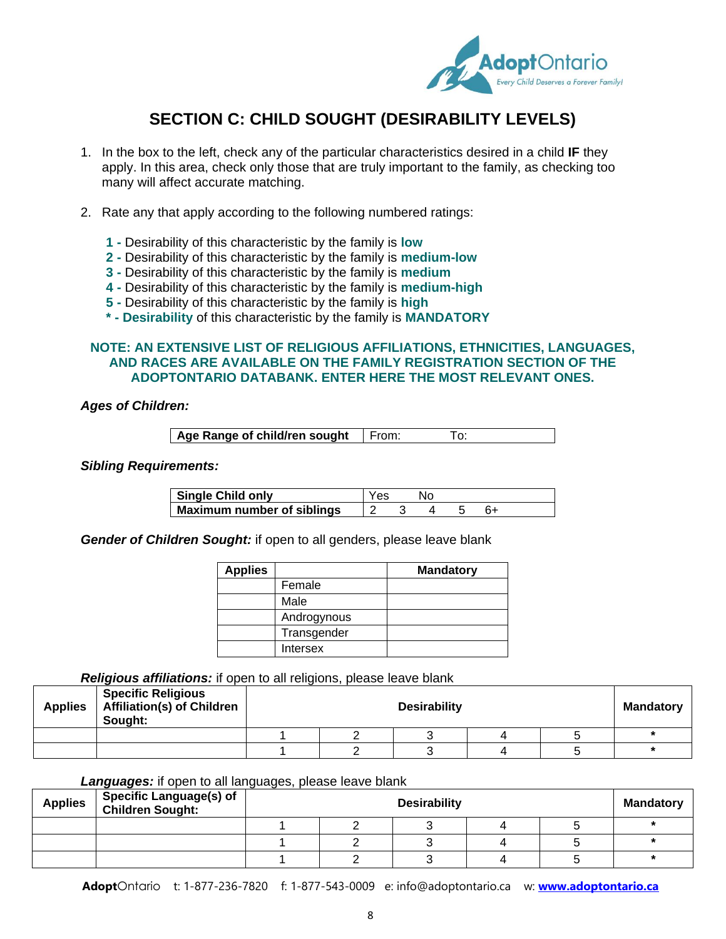

# **SECTION C: CHILD SOUGHT (DESIRABILITY LEVELS)**

- 1. In the box to the left, check any of the particular characteristics desired in a child **IF** they apply. In this area, check only those that are truly important to the family, as checking too many will affect accurate matching.
- 2. Rate any that apply according to the following numbered ratings:
	- **1 -** Desirability of this characteristic by the family is **low**
	- **2 -** Desirability of this characteristic by the family is **medium-low**
	- **3 -** Desirability of this characteristic by the family is **medium**
	- **4 -** Desirability of this characteristic by the family is **medium-high**
	- **5 -** Desirability of this characteristic by the family is **high**
	- **\* - Desirability** of this characteristic by the family is **MANDATORY**

#### **NOTE: AN EXTENSIVE LIST OF RELIGIOUS AFFILIATIONS, ETHNICITIES, LANGUAGES, AND RACES ARE AVAILABLE ON THE FAMILY REGISTRATION SECTION OF THE ADOPTONTARIO DATABANK. ENTER HERE THE MOST RELEVANT ONES.**

*Ages of Children:*

| Age Range of child/ren sought   From: |  |  |  |
|---------------------------------------|--|--|--|
|---------------------------------------|--|--|--|

#### *Sibling Requirements:*

| Single Child only          | Yes |  |  |  |
|----------------------------|-----|--|--|--|
| Maximum number of siblings |     |  |  |  |

*Gender of Children Sought:* if open to all genders, please leave blank

| <b>Applies</b> |             | <b>Mandatory</b> |
|----------------|-------------|------------------|
|                | Female      |                  |
|                | Male        |                  |
|                | Androgynous |                  |
|                | Transgender |                  |
|                | Intersex    |                  |

#### *Religious affiliations:* if open to all religions, please leave blank

| <b>Applies</b> | <b>Specific Religious</b><br><b>Affiliation(s) of Children</b><br>Sought: | <b>Desirability</b> |  |  |  |  |  |  |  |
|----------------|---------------------------------------------------------------------------|---------------------|--|--|--|--|--|--|--|
|                |                                                                           |                     |  |  |  |  |  |  |  |
|                |                                                                           |                     |  |  |  |  |  |  |  |

#### *Languages:* if open to all languages, please leave blank

| <b>Applies</b> | Specific Language(s) of<br>  Children Sought: | <b>Desirability</b> |  |  | <b>Mandatory</b> |  |
|----------------|-----------------------------------------------|---------------------|--|--|------------------|--|
|                |                                               |                     |  |  |                  |  |
|                |                                               |                     |  |  |                  |  |
|                |                                               |                     |  |  |                  |  |

**Adopt**Ontario t: 1-877-236-7820 f: 1-877-543-0009 e: info@adoptontario.ca w: **[www.adoptontario.ca](http://www.adoptontario.ca/)**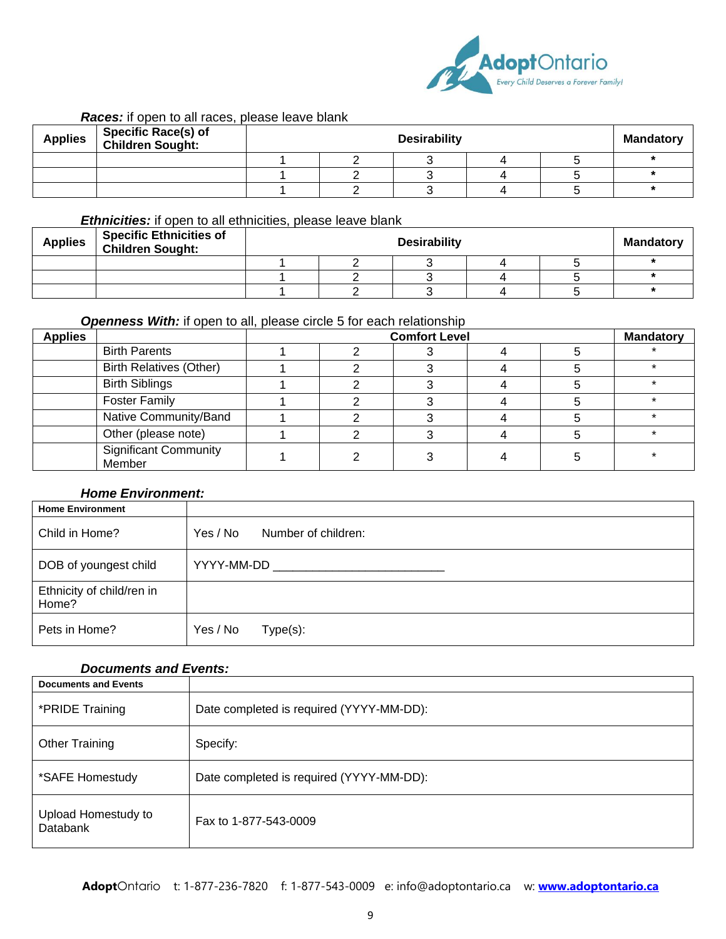

#### *Races:* if open to all races, please leave blank

| <b>Applies</b> | <b>Specific Race(s) of</b><br>Children Sought: | <b>Desirability</b> |  |  |  | <b>Mandatory</b> |  |
|----------------|------------------------------------------------|---------------------|--|--|--|------------------|--|
|                |                                                |                     |  |  |  |                  |  |
|                |                                                |                     |  |  |  |                  |  |
|                |                                                |                     |  |  |  |                  |  |

#### *Ethnicities:* if open to all ethnicities, please leave blank

| <b>Applies</b> | <b>Specific Ethnicities of</b><br><b>Children Sought:</b> | <b>Desirability</b> |  |  | <b>Mandatory</b> |  |
|----------------|-----------------------------------------------------------|---------------------|--|--|------------------|--|
|                |                                                           |                     |  |  |                  |  |
|                |                                                           |                     |  |  |                  |  |
|                |                                                           |                     |  |  |                  |  |

### *Openness With:* if open to all, please circle 5 for each relationship

| <b>Applies</b> |                                        | <b>Comfort Level</b> |  |  |  |  | <b>Mandatory</b> |
|----------------|----------------------------------------|----------------------|--|--|--|--|------------------|
|                | <b>Birth Parents</b>                   |                      |  |  |  |  |                  |
|                | <b>Birth Relatives (Other)</b>         |                      |  |  |  |  |                  |
|                | <b>Birth Siblings</b>                  |                      |  |  |  |  |                  |
|                | <b>Foster Family</b>                   |                      |  |  |  |  |                  |
|                | Native Community/Band                  |                      |  |  |  |  |                  |
|                | Other (please note)                    |                      |  |  |  |  |                  |
|                | <b>Significant Community</b><br>Member |                      |  |  |  |  |                  |

#### *Home Environment:*

| <b>Home Environment</b>            |                                 |
|------------------------------------|---------------------------------|
| Child in Home?                     | Number of children:<br>Yes / No |
| DOB of youngest child              | YYYY-MM-DD                      |
| Ethnicity of child/ren in<br>Home? |                                 |
| Pets in Home?                      | Yes / No<br>$Type(s)$ :         |

#### *Documents and Events:*

| <b>Documents and Events</b>     |                                          |
|---------------------------------|------------------------------------------|
| *PRIDE Training                 | Date completed is required (YYYY-MM-DD): |
| Other Training                  | Specify:                                 |
| *SAFE Homestudy                 | Date completed is required (YYYY-MM-DD): |
| Upload Homestudy to<br>Databank | Fax to 1-877-543-0009                    |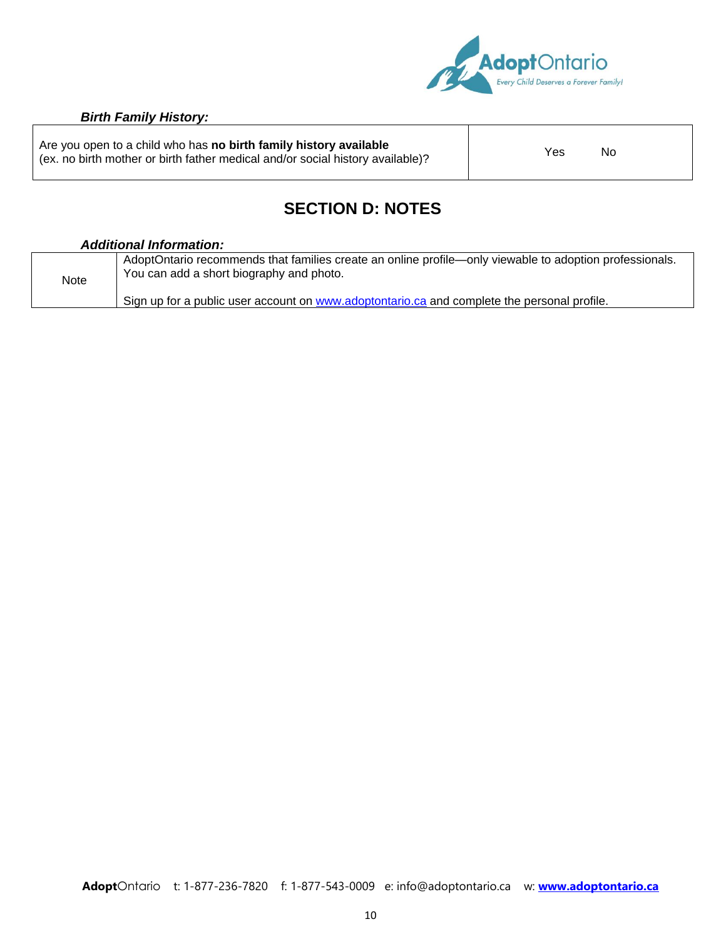

#### *Birth Family History:*

Are you open to a child who has **no birth family history available** Are you open to a child who has **no birth family history available**<br>(ex. no birth mother or birth father medical and/or social history available)?

# **SECTION D: NOTES**

#### *Additional Information:*

| Note | AdoptOntario recommends that families create an online profile—only viewable to adoption professionals.<br>You can add a short biography and photo. |
|------|-----------------------------------------------------------------------------------------------------------------------------------------------------|
|      | Sign up for a public user account on www.adoptontario.ca and complete the personal profile.                                                         |